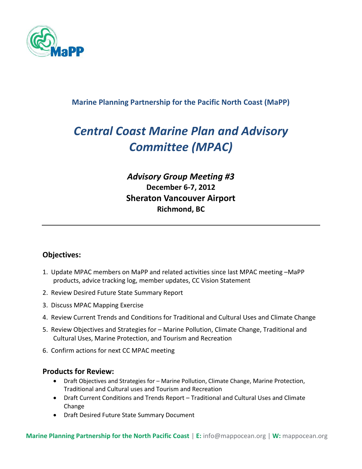

### **Marine Planning Partnership for the Pacific North Coast (MaPP)**

# *Central Coast Marine Plan and Advisory Committee (MPAC)*

## *Advisory Group Meeting #3* **December 6-7, 2012 Sheraton Vancouver Airport Richmond, BC**

#### **Objectives:**

- 1. Update MPAC members on MaPP and related activities since last MPAC meeting –MaPP products, advice tracking log, member updates, CC Vision Statement
- 2. Review Desired Future State Summary Report
- 3. Discuss MPAC Mapping Exercise
- 4. Review Current Trends and Conditions for Traditional and Cultural Uses and Climate Change
- 5. Review Objectives and Strategies for Marine Pollution, Climate Change, Traditional and Cultural Uses, Marine Protection, and Tourism and Recreation
- 6. Confirm actions for next CC MPAC meeting

#### **Products for Review:**

- Draft Objectives and Strategies for Marine Pollution, Climate Change, Marine Protection, Traditional and Cultural uses and Tourism and Recreation
- Draft Current Conditions and Trends Report Traditional and Cultural Uses and Climate Change
- Draft Desired Future State Summary Document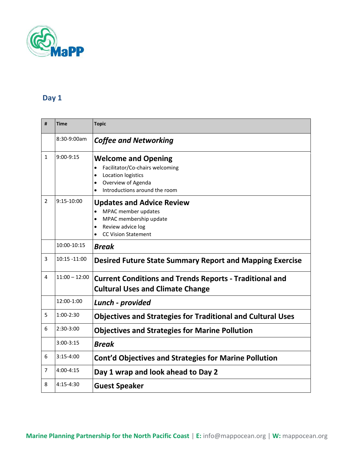

## **Day 1**

| #              | <b>Time</b>     | <b>Topic</b>                                                                                                                                                                                   |
|----------------|-----------------|------------------------------------------------------------------------------------------------------------------------------------------------------------------------------------------------|
|                | 8:30-9:00am     | <b>Coffee and Networking</b>                                                                                                                                                                   |
| 1              | $9:00-9:15$     | <b>Welcome and Opening</b><br>Facilitator/Co-chairs welcoming<br>$\bullet$<br>Location logistics<br>$\bullet$<br>Overview of Agenda<br>$\bullet$<br>Introductions around the room<br>$\bullet$ |
| $\overline{2}$ | 9:15-10:00      | <b>Updates and Advice Review</b><br>MPAC member updates<br>$\bullet$<br>MPAC membership update<br>$\bullet$<br>Review advice log<br>$\bullet$<br><b>CC Vision Statement</b><br>$\bullet$       |
|                | 10:00-10:15     | <b>Break</b>                                                                                                                                                                                   |
| 3              | $10:15 - 11:00$ | <b>Desired Future State Summary Report and Mapping Exercise</b>                                                                                                                                |
| 4              | $11:00 - 12:00$ | <b>Current Conditions and Trends Reports - Traditional and</b><br><b>Cultural Uses and Climate Change</b>                                                                                      |
|                | 12:00-1:00      | Lunch - provided                                                                                                                                                                               |
| 5              | $1:00-2:30$     | <b>Objectives and Strategies for Traditional and Cultural Uses</b>                                                                                                                             |
| 6              | $2:30-3:00$     | <b>Objectives and Strategies for Marine Pollution</b>                                                                                                                                          |
|                | 3:00-3:15       | <b>Break</b>                                                                                                                                                                                   |
| 6              | $3:15-4:00$     | <b>Cont'd Objectives and Strategies for Marine Pollution</b>                                                                                                                                   |
| 7              | $4:00 - 4:15$   | Day 1 wrap and look ahead to Day 2                                                                                                                                                             |
| 8              | $4:15-4:30$     | <b>Guest Speaker</b>                                                                                                                                                                           |